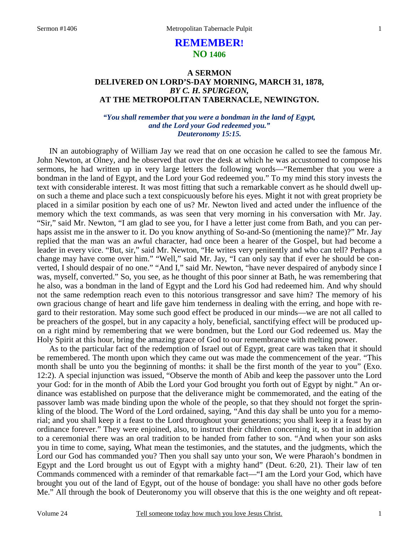# **REMEMBER! NO 1406**

### **A SERMON DELIVERED ON LORD'S-DAY MORNING, MARCH 31, 1878,**  *BY C. H. SPURGEON,*  **AT THE METROPOLITAN TABERNACLE, NEWINGTON.**

### *"You shall remember that you were a bondman in the land of Egypt, and the Lord your God redeemed you." Deuteronomy 15:15.*

IN an autobiography of William Jay we read that on one occasion he called to see the famous Mr. John Newton, at Olney, and he observed that over the desk at which he was accustomed to compose his sermons, he had written up in very large letters the following words—"Remember that you were a bondman in the land of Egypt, and the Lord your God redeemed you." To my mind this story invests the text with considerable interest. It was most fitting that such a remarkable convert as he should dwell upon such a theme and place such a text conspicuously before his eyes. Might it not with great propriety be placed in a similar position by each one of us? Mr. Newton lived and acted under the influence of the memory which the text commands, as was seen that very morning in his conversation with Mr. Jay. "Sir," said Mr. Newton, "I am glad to see you, for I have a letter just come from Bath, and you can perhaps assist me in the answer to it. Do you know anything of So-and-So (mentioning the name)?" Mr. Jay replied that the man was an awful character, had once been a hearer of the Gospel, but had become a leader in every vice. "But, sir," said Mr. Newton, "He writes very penitently and who can tell? Perhaps a change may have come over him." "Well," said Mr. Jay, "I can only say that if ever he should be converted, I should despair of no one." "And I," said Mr. Newton, "have never despaired of anybody since I was, myself, converted." So, you see, as he thought of this poor sinner at Bath, he was remembering that he also, was a bondman in the land of Egypt and the Lord his God had redeemed him. And why should not the same redemption reach even to this notorious transgressor and save him? The memory of his own gracious change of heart and life gave him tenderness in dealing with the erring, and hope with regard to their restoration. May some such good effect be produced in our minds—we are not all called to be preachers of the gospel, but in any capacity a holy, beneficial, sanctifying effect will be produced upon a right mind by remembering that we were bondmen, but the Lord our God redeemed us. May the Holy Spirit at this hour, bring the amazing grace of God to our remembrance with melting power.

As to the particular fact of the redemption of Israel out of Egypt, great care was taken that it should be remembered. The month upon which they came out was made the commencement of the year. "This month shall be unto you the beginning of months: it shall be the first month of the year to you" (Exo. 12:2). A special injunction was issued, "Observe the month of Abib and keep the passover unto the Lord your God: for in the month of Abib the Lord your God brought you forth out of Egypt by night." An ordinance was established on purpose that the deliverance might be commemorated, and the eating of the passover lamb was made binding upon the whole of the people, so that they should not forget the sprinkling of the blood. The Word of the Lord ordained, saying, "And this day shall be unto you for a memorial; and you shall keep it a feast to the Lord throughout your generations; you shall keep it a feast by an ordinance forever." They were enjoined, also, to instruct their children concerning it, so that in addition to a ceremonial there was an oral tradition to be handed from father to son. "And when your son asks you in time to come, saying, What mean the testimonies, and the statutes, and the judgments, which the Lord our God has commanded you? Then you shall say unto your son, We were Pharaoh's bondmen in Egypt and the Lord brought us out of Egypt with a mighty hand" (Deut. 6:20, 21). Their law of ten Commands commenced with a reminder of that remarkable fact—"I am the Lord your God, which have brought you out of the land of Egypt, out of the house of bondage: you shall have no other gods before Me." All through the book of Deuteronomy you will observe that this is the one weighty and oft repeat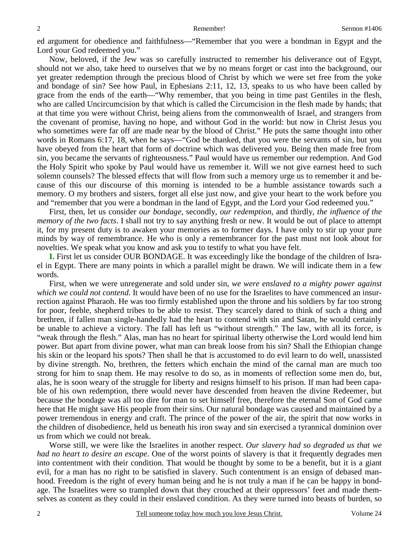ed argument for obedience and faithfulness—"Remember that you were a bondman in Egypt and the Lord your God redeemed you."

Now, beloved, if the Jew was so carefully instructed to remember his deliverance out of Egypt, should not we also, take heed to ourselves that we by no means forget or cast into the background, our yet greater redemption through the precious blood of Christ by which we were set free from the yoke and bondage of sin? See how Paul, in Ephesians 2:11, 12, 13, speaks to us who have been called by grace from the ends of the earth—"Why remember, that you being in time past Gentiles in the flesh, who are called Uncircumcision by that which is called the Circumcision in the flesh made by hands; that at that time you were without Christ, being aliens from the commonwealth of Israel, and strangers from the covenant of promise, having no hope, and without God in the world: but now in Christ Jesus you who sometimes were far off are made near by the blood of Christ." He puts the same thought into other words in Romans 6:17, 18, when he says—"God be thanked, that you were the servants of sin, but you have obeyed from the heart that form of doctrine which was delivered you. Being then made free from sin, you became the servants of righteousness." Paul would have us remember our redemption. And God the Holy Spirit who spoke by Paul would have us remember it. Will we not give earnest heed to such solemn counsels? The blessed effects that will flow from such a memory urge us to remember it and because of this our discourse of this morning is intended to be a humble assistance towards such a memory. O my brothers and sisters, forget all else just now, and give your heart to the work before you and "remember that you were a bondman in the land of Egypt, and the Lord your God redeemed you."

First, then, let us consider *our bondage,* secondly, *our redemption,* and thirdly, *the influence of the memory of the two facts*. I shall not try to say anything fresh or new. It would be out of place to attempt it, for my present duty is to awaken your memories as to former days. I have only to stir up your pure minds by way of remembrance. He who is only a remembrancer for the past must not look about for novelties. We speak what you know and ask you to testify to what you have felt.

**I.** First let us consider OUR BONDAGE. It was exceedingly like the bondage of the children of Israel in Egypt. There are many points in which a parallel might be drawn. We will indicate them in a few words.

First, when we were unregenerate and sold under sin, *we were enslaved to a mighty power against which we could not contend.* It would have been of no use for the Israelites to have commenced an insurrection against Pharaoh. He was too firmly established upon the throne and his soldiers by far too strong for poor, feeble, shepherd tribes to be able to resist. They scarcely dared to think of such a thing and brethren, if fallen man single-handedly had the heart to contend with sin and Satan, he would certainly be unable to achieve a victory. The fall has left us "without strength." The law, with all its force, is "weak through the flesh." Alas, man has no heart for spiritual liberty otherwise the Lord would lend him power. But apart from divine power, what man can break loose from his sin? Shall the Ethiopian change his skin or the leopard his spots? Then shall he that is accustomed to do evil learn to do well, unassisted by divine strength. No, brethren, the fetters which enchain the mind of the carnal man are much too strong for him to snap them. He may resolve to do so, as in moments of reflection some men do, but, alas, he is soon weary of the struggle for liberty and resigns himself to his prison. If man had been capable of his own redemption, there would never have descended from heaven the divine Redeemer, but because the bondage was all too dire for man to set himself free, therefore the eternal Son of God came here that He might save His people from their sins. Our natural bondage was caused and maintained by a power tremendous in energy and craft. The prince of the power of the air, the spirit that now works in the children of disobedience, held us beneath his iron sway and sin exercised a tyrannical dominion over us from which we could not break.

Worse still, we were like the Israelites in another respect. *Our slavery had so degraded us that we had no heart to desire an escape*. One of the worst points of slavery is that it frequently degrades men into contentment with their condition. That would be thought by some to be a benefit, but it is a giant evil, for a man has no right to be satisfied in slavery. Such contentment is an ensign of debased manhood. Freedom is the right of every human being and he is not truly a man if he can be happy in bondage. The Israelites were so trampled down that they crouched at their oppressors' feet and made themselves as content as they could in their enslaved condition. As they were turned into beasts of burden, so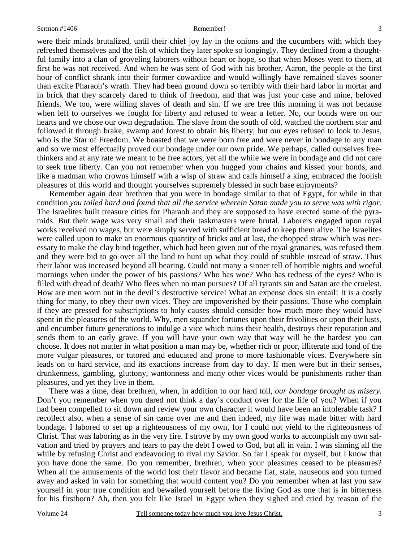3

were their minds brutalized, until their chief joy lay in the onions and the cucumbers with which they refreshed themselves and the fish of which they later spoke so longingly. They declined from a thoughtful family into a clan of groveling laborers without heart or hope, so that when Moses went to them, at first he was not received. And when he was sent of God with his brother, Aaron, the people at the first hour of conflict shrank into their former cowardice and would willingly have remained slaves sooner than excite Pharaoh's wrath. They had been ground down so terribly with their hard labor in mortar and in brick that they scarcely dared to think of freedom, and that was just your case and mine, beloved friends. We too, were willing slaves of death and sin. If we are free this morning it was not because when left to ourselves we fought for liberty and refused to wear a fetter. No, our bonds were on our hearts and we chose our own degradation. The slave from the south of old, watched the northern star and followed it through brake, swamp and forest to obtain his liberty, but our eyes refused to look to Jesus, who is the Star of Freedom. We boasted that we were born free and were never in bondage to any man and so we most effectually proved our bondage under our own pride. We perhaps, called ourselves freethinkers and at any rate we meant to be free actors, yet all the while we were in bondage and did not care to seek true liberty. Can you not remember when you hugged your chains and kissed your bonds, and like a madman who crowns himself with a wisp of straw and calls himself a king, embraced the foolish pleasures of this world and thought yourselves supremely blessed in such base enjoyments?

Remember again dear brethren that you were in bondage similar to that of Egypt, for while in that condition *you toiled hard and found that all the service wherein Satan made you to serve was with rigor.* The Israelites built treasure cities for Pharaoh and they are supposed to have erected some of the pyramids. But their wage was very small and their taskmasters were brutal. Laborers engaged upon royal works received no wages, but were simply served with sufficient bread to keep them alive. The Israelites were called upon to make an enormous quantity of bricks and at last, the chopped straw which was necessary to make the clay bind together, which had been given out of the royal granaries, was refused them and they were bid to go over all the land to hunt up what they could of stubble instead of straw. Thus their labor was increased beyond all bearing. Could not many a sinner tell of horrible nights and woeful mornings when under the power of his passions? Who has woe? Who has redness of the eyes? Who is filled with dread of death? Who flees when no man pursues? Of all tyrants sin and Satan are the cruelest. How are men worn out in the devil's destructive service! What an expense does sin entail! It is a costly thing for many, to obey their own vices. They are impoverished by their passions. Those who complain if they are pressed for subscriptions to holy causes should consider how much more they would have spent in the pleasures of the world. Why, men squander fortunes upon their frivolities or upon their lusts, and encumber future generations to indulge a vice which ruins their health, destroys their reputation and sends them to an early grave. If you will have your own way that way will be the hardest you can choose. It does not matter in what position a man may be, whether rich or poor, illiterate and fond of the more vulgar pleasures, or tutored and educated and prone to more fashionable vices. Everywhere sin leads on to hard service, and its exactions increase from day to day. If men were but in their senses, drunkenness, gambling, gluttony, wantonness and many other vices would be punishments rather than pleasures, and yet they live in them.

There was a time, dear brethren, when, in addition to our hard toil, *our bondage brought us misery.* Don't you remember when you dared not think a day's conduct over for the life of you? When if you had been compelled to sit down and review your own character it would have been an intolerable task? I recollect also, when a sense of sin came over me and then indeed, my life was made bitter with hard bondage. I labored to set up a righteousness of my own, for I could not yield to the righteousness of Christ. That was laboring as in the very fire. I strove by my own good works to accomplish my own salvation and tried by prayers and tears to pay the debt I owed to God, but all in vain. I was sinning all the while by refusing Christ and endeavoring to rival my Savior. So far I speak for myself, but I know that you have done the same. Do you remember, brethren, when your pleasures ceased to be pleasures? When all the amusements of the world lost their flavor and became flat, stale, nauseous and you turned away and asked in vain for something that would content you? Do you remember when at last you saw yourself in your true condition and bewailed yourself before the living God as one that is in bitterness for his firstborn? Ah, then you felt like Israel in Egypt when they sighed and cried by reason of the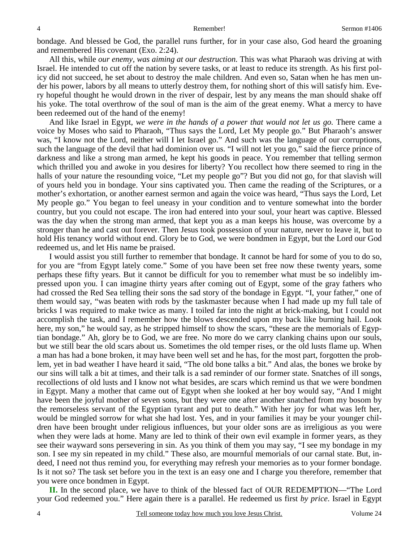bondage. And blessed be God, the parallel runs further, for in your case also, God heard the groaning and remembered His covenant (Exo. 2:24).

All this, while *our enemy, was aiming at our destruction.* This was what Pharaoh was driving at with Israel. He intended to cut off the nation by severe tasks, or at least to reduce its strength. As his first policy did not succeed, he set about to destroy the male children. And even so, Satan when he has men under his power, labors by all means to utterly destroy them, for nothing short of this will satisfy him. Every hopeful thought he would drown in the river of despair, lest by any means the man should shake off his yoke. The total overthrow of the soul of man is the aim of the great enemy. What a mercy to have been redeemed out of the hand of the enemy!

And like Israel in Egypt, *we were in the hands of a power that would not let us go.* There came a voice by Moses who said to Pharaoh, "Thus says the Lord, Let My people go." But Pharaoh's answer was, "I know not the Lord, neither will I let Israel go." And such was the language of our corruptions, such the language of the devil that had dominion over us. "I will not let you go," said the fierce prince of darkness and like a strong man armed, he kept his goods in peace. You remember that telling sermon which thrilled you and awoke in you desires for liberty? You recollect how there seemed to ring in the halls of your nature the resounding voice, "Let my people go"? But you did not go, for that slavish will of yours held you in bondage. Your sins captivated you. Then came the reading of the Scriptures, or a mother's exhortation, or another earnest sermon and again the voice was heard, "Thus says the Lord, Let My people go." You began to feel uneasy in your condition and to venture somewhat into the border country, but you could not escape. The iron had entered into your soul, your heart was captive. Blessed was the day when the strong man armed, that kept you as a man keeps his house, was overcome by a stronger than he and cast out forever. Then Jesus took possession of your nature, never to leave it, but to hold His tenancy world without end. Glory be to God, we were bondmen in Egypt, but the Lord our God redeemed us, and let His name be praised.

I would assist you still further to remember that bondage. It cannot be hard for some of you to do so, for you are "from Egypt lately come." Some of you have been set free now these twenty years, some perhaps these fifty years. But it cannot be difficult for you to remember what must be so indelibly impressed upon you. I can imagine thirty years after coming out of Egypt, some of the gray fathers who had crossed the Red Sea telling their sons the sad story of the bondage in Egypt. "I, your father," one of them would say, "was beaten with rods by the taskmaster because when I had made up my full tale of bricks I was required to make twice as many. I toiled far into the night at brick-making, but I could not accomplish the task, and I remember how the blows descended upon my back like burning hail. Look here, my son," he would say, as he stripped himself to show the scars, "these are the memorials of Egyptian bondage." Ah, glory be to God, we are free. No more do we carry clanking chains upon our souls, but we still bear the old scars about us. Sometimes the old temper rises, or the old lusts flame up. When a man has had a bone broken, it may have been well set and he has, for the most part, forgotten the problem, yet in bad weather I have heard it said, "The old bone talks a bit." And alas, the bones we broke by our sins will talk a bit at times, and their talk is a sad reminder of our former state. Snatches of ill songs, recollections of old lusts and I know not what besides, are scars which remind us that we were bondmen in Egypt. Many a mother that came out of Egypt when she looked at her boy would say, "And I might have been the joyful mother of seven sons, but they were one after another snatched from my bosom by the remorseless servant of the Egyptian tyrant and put to death." With her joy for what was left her, would be mingled sorrow for what she had lost. Yes, and in your families it may be your younger children have been brought under religious influences, but your older sons are as irreligious as you were when they were lads at home. Many are led to think of their own evil example in former years, as they see their wayward sons persevering in sin. As you think of them you may say, "I see my bondage in my son. I see my sin repeated in my child." These also, are mournful memorials of our carnal state. But, indeed, I need not thus remind you, for everything may refresh your memories as to your former bondage. Is it not so? The task set before you in the text is an easy one and I charge you therefore, remember that you were once bondmen in Egypt.

**II.** In the second place, we have to think of the blessed fact of OUR REDEMPTION—"The Lord your God redeemed you." Here again there is a parallel. He redeemed us first *by price*. Israel in Egypt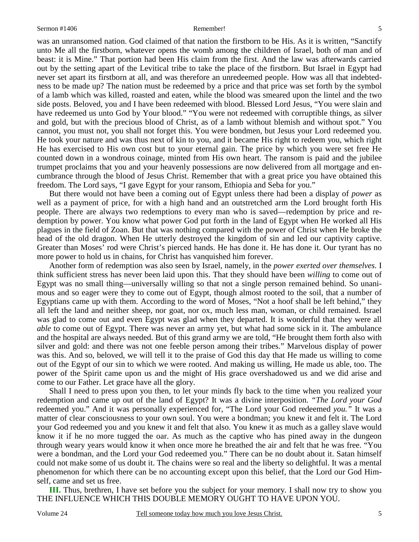was an unransomed nation. God claimed of that nation the firstborn to be His. As it is written, "Sanctify unto Me all the firstborn, whatever opens the womb among the children of Israel, both of man and of beast: it is Mine." That portion had been His claim from the first. And the law was afterwards carried out by the setting apart of the Levitical tribe to take the place of the firstborn. But Israel in Egypt had never set apart its firstborn at all, and was therefore an unredeemed people. How was all that indebtedness to be made up? The nation must be redeemed by a price and that price was set forth by the symbol of a lamb which was killed, roasted and eaten, while the blood was smeared upon the lintel and the two side posts. Beloved, you and I have been redeemed with blood. Blessed Lord Jesus, "You were slain and have redeemed us unto God by Your blood." "You were not redeemed with corruptible things, as silver and gold, but with the precious blood of Christ, as of a lamb without blemish and without spot." You cannot, you must not, you shall not forget this. You were bondmen, but Jesus your Lord redeemed you. He took your nature and was thus next of kin to you, and it became His right to redeem you, which right He has exercised to His own cost but to your eternal gain. The price by which you were set free He counted down in a wondrous coinage, minted from His own heart. The ransom is paid and the jubilee trumpet proclaims that you and your heavenly possessions are now delivered from all mortgage and encumbrance through the blood of Jesus Christ. Remember that with a great price you have obtained this freedom. The Lord says, "I gave Egypt for your ransom, Ethiopia and Seba for you."

But there would not have been a coming out of Egypt unless there had been a display of *power* as well as a payment of price, for with a high hand and an outstretched arm the Lord brought forth His people. There are always two redemptions to every man who is saved—redemption by price and redemption by power. You know what power God put forth in the land of Egypt when He worked all His plagues in the field of Zoan. But that was nothing compared with the power of Christ when He broke the head of the old dragon. When He utterly destroyed the kingdom of sin and led our captivity captive. Greater than Moses' rod were Christ's pierced hands. He has done it. He has done it. Our tyrant has no more power to hold us in chains, for Christ has vanquished him forever.

Another form of redemption was also seen by Israel, namely, in the *power exerted over themselves.* I think sufficient stress has never been laid upon this. That they should have been *willing* to come out of Egypt was no small thing—universally willing so that not a single person remained behind. So unanimous and so eager were they to come out of Egypt, though almost rooted to the soil, that a number of Egyptians came up with them. According to the word of Moses, "Not a hoof shall be left behind," they all left the land and neither sheep, nor goat, nor ox, much less man, woman, or child remained. Israel was glad to come out and even Egypt was glad when they departed. It is wonderful that they were all *able* to come out of Egypt. There was never an army yet, but what had some sick in it. The ambulance and the hospital are always needed. But of this grand army we are told, "He brought them forth also with silver and gold: and there was not one feeble person among their tribes." Marvelous display of power was this. And so, beloved, we will tell it to the praise of God this day that He made us willing to come out of the Egypt of our sin to which we were rooted. And making us willing, He made us able, too. The power of the Spirit came upon us and the might of His grace overshadowed us and we did arise and come to our Father. Let grace have all the glory.

Shall I need to press upon you then, to let your minds fly back to the time when you realized your redemption and came up out of the land of Egypt? It was a divine interposition. *"The Lord your God* redeemed you." And it was personally experienced for, "The Lord your God redeemed *you."* It was a matter of clear consciousness to your own soul. You were a bondman; you knew it and felt it. The Lord your God redeemed you and you knew it and felt that also. You knew it as much as a galley slave would know it if he no more tugged the oar. As much as the captive who has pined away in the dungeon through weary years would know it when once more he breathed the air and felt that he was free. "You were a bondman, and the Lord your God redeemed you." There can be no doubt about it. Satan himself could not make some of us doubt it. The chains were so real and the liberty so delightful. It was a mental phenomenon for which there can be no accounting except upon this belief, that the Lord our God Himself, came and set us free.

**III.** Thus, brethren, I have set before you the subject for your memory. I shall now try to show you THE INFLUENCE WHICH THIS DOUBLE MEMORY OUGHT TO HAVE UPON YOU.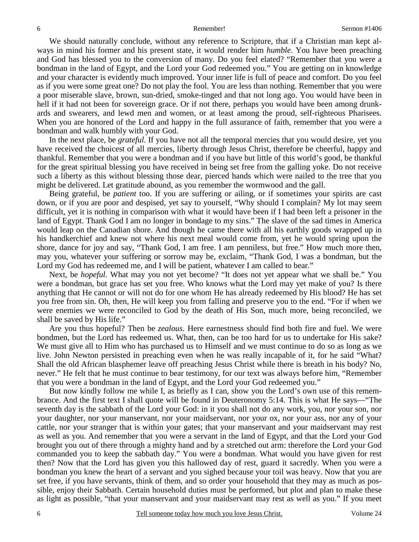We should naturally conclude, without any reference to Scripture, that if a Christian man kept always in mind his former and his present state, it would render him *humble*. You have been preaching and God has blessed you to the conversion of many. Do you feel elated? "Remember that you were a bondman in the land of Egypt, and the Lord your God redeemed you." You are getting on in knowledge and your character is evidently much improved. Your inner life is full of peace and comfort. Do you feel as if you were some great one? Do not play the fool. You are less than nothing. Remember that you were a poor miserable slave, brown, sun-dried, smoke-tinged and that not long ago. You would have been in hell if it had not been for sovereign grace. Or if not there, perhaps you would have been among drunkards and swearers, and lewd men and women, or at least among the proud, self-righteous Pharisees. When you are honored of the Lord and happy in the full assurance of faith, remember that you were a bondman and walk humbly with your God.

In the next place, be *grateful.* If you have not all the temporal mercies that you would desire, yet you have received the choicest of all mercies, liberty through Jesus Christ, therefore be cheerful, happy and thankful. Remember that you were a bondman and if you have but little of this world's good, be thankful for the great spiritual blessing you have received in being set free from the galling yoke. Do not receive such a liberty as this without blessing those dear, pierced hands which were nailed to the tree that you might be delivered. Let gratitude abound, as you remember the wormwood and the gall.

Being grateful, be *patient* too. If you are suffering or ailing, or if sometimes your spirits are cast down, or if you are poor and despised, yet say to yourself, "Why should I complain? My lot may seem difficult, yet it is nothing in comparison with what it would have been if I had been left a prisoner in the land of Egypt. Thank God I am no longer in bondage to my sins." The slave of the sad times in America would leap on the Canadian shore. And though he came there with all his earthly goods wrapped up in his handkerchief and knew not where his next meal would come from, yet he would spring upon the shore, dance for joy and say, "Thank God, I am free. I am penniless, but free." How much more then, may you, whatever your suffering or sorrow may be, exclaim, "Thank God, I was a bondman, but the Lord my God has redeemed me, and I will be patient, whatever I am called to bear."

Next, be *hopeful.* What may you not yet become? "It does not yet appear what we shall be." You were a bondman, but grace has set you free. Who knows what the Lord may yet make of you? Is there anything that He cannot or will not do for one whom He has already redeemed by His blood? He has set you free from sin. Oh, then, He will keep you from falling and preserve you to the end. "For if when we were enemies we were reconciled to God by the death of His Son, much more, being reconciled, we shall be saved by His life."

Are you thus hopeful? Then be *zealous*. Here earnestness should find both fire and fuel. We were bondmen, but the Lord has redeemed us. What, then, can be too hard for us to undertake for His sake? We must give all to Him who has purchased us to Himself and we must continue to do so as long as we live. John Newton persisted in preaching even when he was really incapable of it, for he said "What? Shall the old African blasphemer leave off preaching Jesus Christ while there is breath in his body? No, never." He felt that he must continue to bear testimony, for our text was always before him, "Remember that you were a bondman in the land of Egypt, and the Lord your God redeemed you."

But now kindly follow me while I, as briefly as I can, show you the Lord's own use of this remembrance. And the first text I shall quote will be found in Deuteronomy 5:14. This is what He says—"The seventh day is the sabbath of the Lord your God: in it you shall not do any work, you, nor your son, nor your daughter, nor your manservant, nor your maidservant, nor your ox, nor your ass, nor any of your cattle, nor your stranger that is within your gates; that your manservant and your maidservant may rest as well as you. And remember that you were a servant in the land of Egypt, and that the Lord your God brought you out of there through a mighty hand and by a stretched out arm: therefore the Lord your God commanded you to keep the sabbath day." You were a bondman. What would you have given for rest then? Now that the Lord has given you this hallowed day of rest, guard it sacredly. When you were a bondman you knew the heart of a servant and you sighed because your toil was heavy. Now that you are set free, if you have servants, think of them, and so order your household that they may as much as possible, enjoy their Sabbath. Certain household duties must be performed, but plot and plan to make these as light as possible, "that your manservant and your maidservant may rest as well as you." If you meet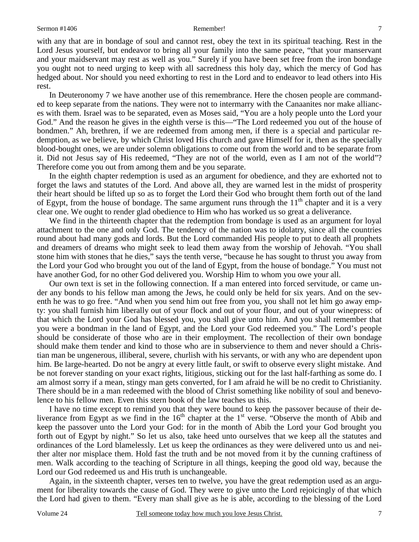with any that are in bondage of soul and cannot rest, obey the text in its spiritual teaching. Rest in the Lord Jesus yourself, but endeavor to bring all your family into the same peace, "that your manservant and your maidservant may rest as well as you." Surely if you have been set free from the iron bondage you ought not to need urging to keep with all sacredness this holy day, which the mercy of God has hedged about. Nor should you need exhorting to rest in the Lord and to endeavor to lead others into His rest.

In Deuteronomy 7 we have another use of this remembrance. Here the chosen people are commanded to keep separate from the nations. They were not to intermarry with the Canaanites nor make alliances with them. Israel was to be separated, even as Moses said, "You are a holy people unto the Lord your God." And the reason he gives in the eighth verse is this—"The Lord redeemed you out of the house of bondmen." Ah, brethren, if we are redeemed from among men, if there is a special and particular redemption, as we believe, by which Christ loved His church and gave Himself for it, then as the specially blood-bought ones, we are under solemn obligations to come out from the world and to be separate from it. Did not Jesus say of His redeemed, "They are not of the world, even as I am not of the world"? Therefore come you out from among them and be you separate.

In the eighth chapter redemption is used as an argument for obedience, and they are exhorted not to forget the laws and statutes of the Lord. And above all, they are warned lest in the midst of prosperity their heart should be lifted up so as to forget the Lord their God who brought them forth out of the land of Egypt, from the house of bondage. The same argument runs through the  $11<sup>th</sup>$  chapter and it is a very clear one. We ought to render glad obedience to Him who has worked us so great a deliverance.

We find in the thirteenth chapter that the redemption from bondage is used as an argument for loyal attachment to the one and only God. The tendency of the nation was to idolatry, since all the countries round about had many gods and lords. But the Lord commanded His people to put to death all prophets and dreamers of dreams who might seek to lead them away from the worship of Jehovah. "You shall stone him with stones that he dies," says the tenth verse, "because he has sought to thrust you away from the Lord your God who brought you out of the land of Egypt, from the house of bondage." You must not have another God, for no other God delivered you. Worship Him to whom you owe your all.

Our own text is set in the following connection. If a man entered into forced servitude, or came under any bonds to his fellow man among the Jews, he could only be held for six years. And on the seventh he was to go free. "And when you send him out free from you, you shall not let him go away empty: you shall furnish him liberally out of your flock and out of your flour, and out of your winepress: of that which the Lord your God has blessed you, you shall give unto him. And you shall remember that you were a bondman in the land of Egypt, and the Lord your God redeemed you." The Lord's people should be considerate of those who are in their employment. The recollection of their own bondage should make them tender and kind to those who are in subservience to them and never should a Christian man be ungenerous, illiberal, severe, churlish with his servants, or with any who are dependent upon him. Be large-hearted. Do not be angry at every little fault, or swift to observe every slight mistake. And be not forever standing on your exact rights, litigious, sticking out for the last half-farthing as some do. I am almost sorry if a mean, stingy man gets converted, for I am afraid he will be no credit to Christianity. There should be in a man redeemed with the blood of Christ something like nobility of soul and benevolence to his fellow men. Even this stern book of the law teaches us this.

I have no time except to remind you that they were bound to keep the passover because of their deliverance from Egypt as we find in the  $16<sup>th</sup>$  chapter at the  $1<sup>st</sup>$  verse. "Observe the month of Abib and keep the passover unto the Lord your God: for in the month of Abib the Lord your God brought you forth out of Egypt by night." So let us also, take heed unto ourselves that we keep all the statutes and ordinances of the Lord blamelessly. Let us keep the ordinances as they were delivered unto us and neither alter nor misplace them. Hold fast the truth and be not moved from it by the cunning craftiness of men. Walk according to the teaching of Scripture in all things, keeping the good old way, because the Lord our God redeemed us and His truth is unchangeable.

Again, in the sixteenth chapter, verses ten to twelve, you have the great redemption used as an argument for liberality towards the cause of God. They were to give unto the Lord rejoicingly of that which the Lord had given to them. "Every man shall give as he is able, according to the blessing of the Lord